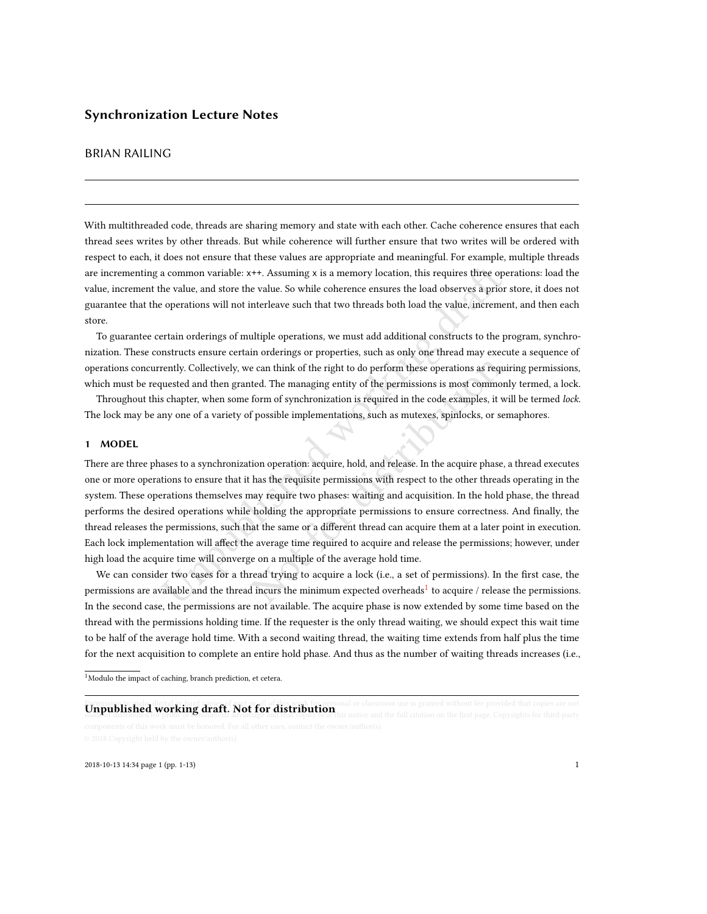# BRIAN RAILING

With multithreaded code, threads are sharing memory and state with each other. Cache coherence ensures that each thread sees writes by other threads. But while coherence will further ensure that two writes will be ordered with respect to each, it does not ensure that these values are appropriate and meaningful. For example, multiple threads are incrementing a common variable: x++. Assuming x is a memory location, this requires three operations: load the value, increment the value, and store the value. So while coherence ensures the load observes a prior store, it does not guarantee that the operations will not interleave such that two threads both load the value, increment, and then each store.

To guarantee certain orderings of multiple operations, we must add additional constructs to the program, synchronization. These constructs ensure certain orderings or properties, such as only one thread may execute a sequence of operations concurrently. Collectively, we can think of the right to do perform these operations as requiring permissions, which must be requested and then granted. The managing entity of the permissions is most commonly termed, a lock.

Throughout this chapter, when some form of synchronization is required in the code examples, it will be termed lock. The lock may be any one of a variety of possible implementations, such as mutexes, spinlocks, or semaphores.

#### 1 MODEL

a common variable: x++. Assuming x is a memory location, this requires three ope<br>he value, and store the value. So while coherence ensures the load observes a prior<br>operations will not interleave such that two threads both e can think of the right to do perform these operations as required. The managing entity of the permissions is most commonl<br>form of synchronization is required in the code examples, it wis<br>f possible implementations, such There are three phases to a synchronization operation: acquire, hold, and release. In the acquire phase, a thread executes one or more operations to ensure that it has the requisite permissions with respect to the other threads operating in the system. These operations themselves may require two phases: waiting and acquisition. In the hold phase, the thread performs the desired operations while holding the appropriate permissions to ensure correctness. And finally, the thread releases the permissions, such that the same or a different thread can acquire them at a later point in execution. Each lock implementation will affect the average time required to acquire and release the permissions; however, under high load the acquire time will converge on a multiple of the average hold time.

We can consider two cases for a thread trying to acquire a lock (i.e., a set of permissions). In the first case, the permissions are available and the thread incurs the minimum expected overheads $^1$  $^1$  to acquire / release the permissions. In the second case, the permissions are not available. The acquire phase is now extended by some time based on the thread with the permissions holding time. If the requester is the only thread waiting, we should expect this wait time to be half of the average hold time. With a second waiting thread, the waiting time extends from half plus the time for the next acquisition to complete an entire hold phase. And thus as the number of waiting threads increases (i.e.,

<span id="page-0-0"></span> $^{1}$  Modulo the impact of caching, branch prediction, et cetera.

# **Unpublished working draft. Not for distribution** or classroom use is granted without fee provided that copies are not

2018-10-13 14:34 page 1 (pp. 1-13) 1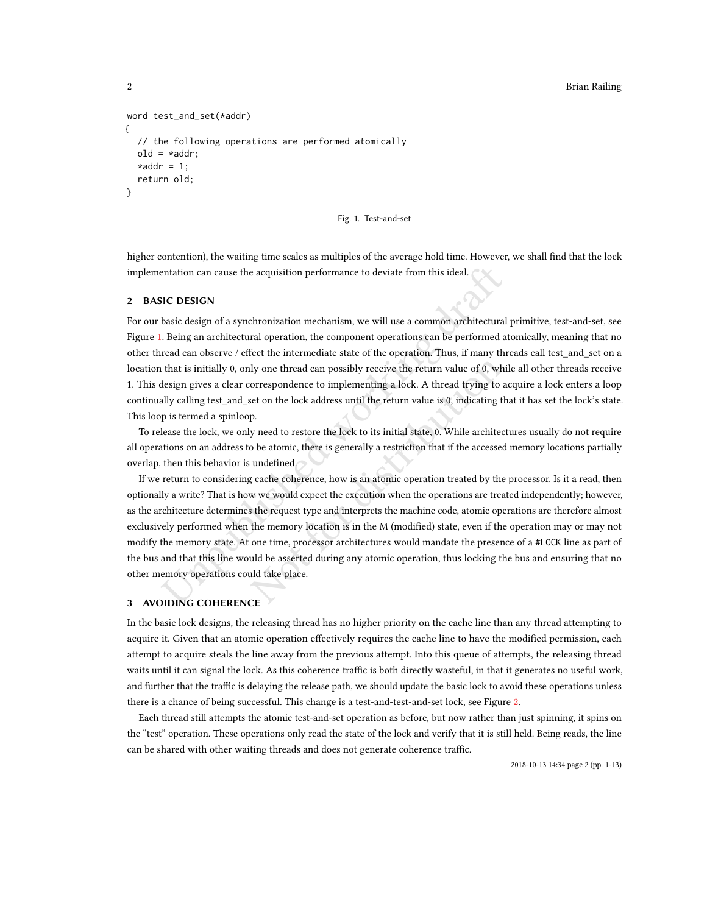#### 2 Brian Railing

```
word test_and_set(*addr)
{
  // the following operations are performed atomically
  old = *addr;*addr = 1;return old;
}
```
#### Fig. 1. Test-and-set

higher contention), the waiting time scales as multiples of the average hold time. However, we shall find that the lock implementation can cause the acquisition performance to deviate from this ideal.

#### 2 BASIC DESIGN

For our basic design of a synchronization mechanism, we will use a common architectural primitive, test-and-set, see Figure [1.](#page-1-0) Being an architectural operation, the component operations can be performed atomically, meaning that no other thread can observe / effect the intermediate state of the operation. Thus, if many threads call test\_and\_set on a location that is initially 0, only one thread can possibly receive the return value of 0, while all other threads receive 1. This design gives a clear correspondence to implementing a lock. A thread trying to acquire a lock enters a loop continually calling test\_and\_set on the lock address until the return value is 0, indicating that it has set the lock's state. This loop is termed a spinloop.

To release the lock, we only need to restore the lock to its initial state, 0. While architectures usually do not require all operations on an address to be atomic, there is generally a restriction that if the accessed memory locations partially overlap, then this behavior is undefined.

entation can cause the acquisition performance to deviate from this ideal.<br>
SIC DESIGN<br>
basic design of a synchronization mechanism, we will use a common architectural<br>
Deing an architectural operation, the component opera ly one thread can possibly receive the return value of 0, whil<br>orrespondence to implementing a lock. A thread trying to ace<br>to m the lock address until the return value is 0, indicating thap.<br>P.<br>y need to restore the lock If we return to considering cache coherence, how is an atomic operation treated by the processor. Is it a read, then optionally a write? That is how we would expect the execution when the operations are treated independently; however, as the architecture determines the request type and interprets the machine code, atomic operations are therefore almost exclusively performed when the memory location is in the M (modified) state, even if the operation may or may not modify the memory state. At one time, processor architectures would mandate the presence of a #LOCK line as part of the bus and that this line would be asserted during any atomic operation, thus locking the bus and ensuring that no other memory operations could take place.

# 3 AVOIDING COHERENCE

In the basic lock designs, the releasing thread has no higher priority on the cache line than any thread attempting to acquire it. Given that an atomic operation effectively requires the cache line to have the modified permission, each attempt to acquire steals the line away from the previous attempt. Into this queue of attempts, the releasing thread waits until it can signal the lock. As this coherence traffic is both directly wasteful, in that it generates no useful work, and further that the traffic is delaying the release path, we should update the basic lock to avoid these operations unless there is a chance of being successful. This change is a test-and-test-and-set lock, see Figure [2.](#page-2-0)

Each thread still attempts the atomic test-and-set operation as before, but now rather than just spinning, it spins on the "test" operation. These operations only read the state of the lock and verify that it is still held. Being reads, the line can be shared with other waiting threads and does not generate coherence traffic.

2018-10-13 14:34 page 2 (pp. 1-13)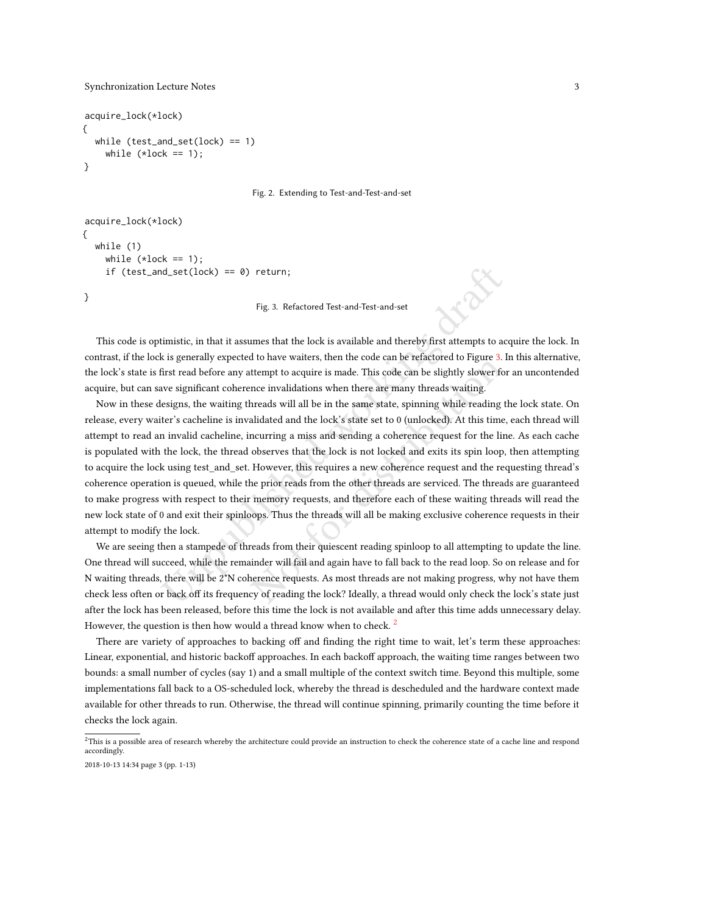}

```
acquire_lock(*lock)
{
  while (test_and_set(lock) == 1)
    while (*lock == 1);}
```
Fig. 2. Extending to Test-and-Test-and-set

```
acquire_lock(*lock)
{
  while (1)
    while (*lock == 1);if (test_and_set(lock) == 0) return;
```
Fig. 3. Refactored Test-and-Test-and-set

This code is optimistic, in that it assumes that the lock is available and thereby first attempts to acquire the lock. In contrast, if the lock is generally expected to have waiters, then the code can be refactored to Figure [3.](#page-2-1) In this alternative, the lock's state is first read before any attempt to acquire is made. This code can be slightly slower for an uncontended acquire, but can save significant coherence invalidations when there are many threads waiting.

In the lock,  $\epsilon$  and set (lock) =  $\epsilon$  9) return;<br>
Fig. 3. Refactored Test-and-Test-and-set<br>
timistic, in that it assumes that the lock is available and thereby first attempts to ac<br>
it is generally expected to have wait If tempthe values, then the coate can be related to Figure 3. In thempt to acquire is made. This code can be slightly slower for none invalidations when there are many threads waiting.<br>
hreads will all be in the same state Now in these designs, the waiting threads will all be in the same state, spinning while reading the lock state. On release, every waiter's cacheline is invalidated and the lock's state set to 0 (unlocked). At this time, each thread will attempt to read an invalid cacheline, incurring a miss and sending a coherence request for the line. As each cache is populated with the lock, the thread observes that the lock is not locked and exits its spin loop, then attempting to acquire the lock using test\_and\_set. However, this requires a new coherence request and the requesting thread's coherence operation is queued, while the prior reads from the other threads are serviced. The threads are guaranteed to make progress with respect to their memory requests, and therefore each of these waiting threads will read the new lock state of 0 and exit their spinloops. Thus the threads will all be making exclusive coherence requests in their attempt to modify the lock.

We are seeing then a stampede of threads from their quiescent reading spinloop to all attempting to update the line. One thread will succeed, while the remainder will fail and again have to fall back to the read loop. So on release and for N waiting threads, there will be 2\*N coherence requests. As most threads are not making progress, why not have them check less often or back off its frequency of reading the lock? Ideally, a thread would only check the lock's state just after the lock has been released, before this time the lock is not available and after this time adds unnecessary delay. However, the question is then how would a thread know when to check.<sup>[2](#page-2-2)</sup>

There are variety of approaches to backing off and finding the right time to wait, let's term these approaches: Linear, exponential, and historic backoff approaches. In each backoff approach, the waiting time ranges between two bounds: a small number of cycles (say 1) and a small multiple of the context switch time. Beyond this multiple, some implementations fall back to a OS-scheduled lock, whereby the thread is descheduled and the hardware context made available for other threads to run. Otherwise, the thread will continue spinning, primarily counting the time before it checks the lock again.

<span id="page-2-2"></span> $^{2}$ This is a possible area of research whereby the architecture could provide an instruction to check the coherence state of a cache line and respond accordingly.

<sup>2018-10-13 14:34</sup> page 3 (pp. 1-13)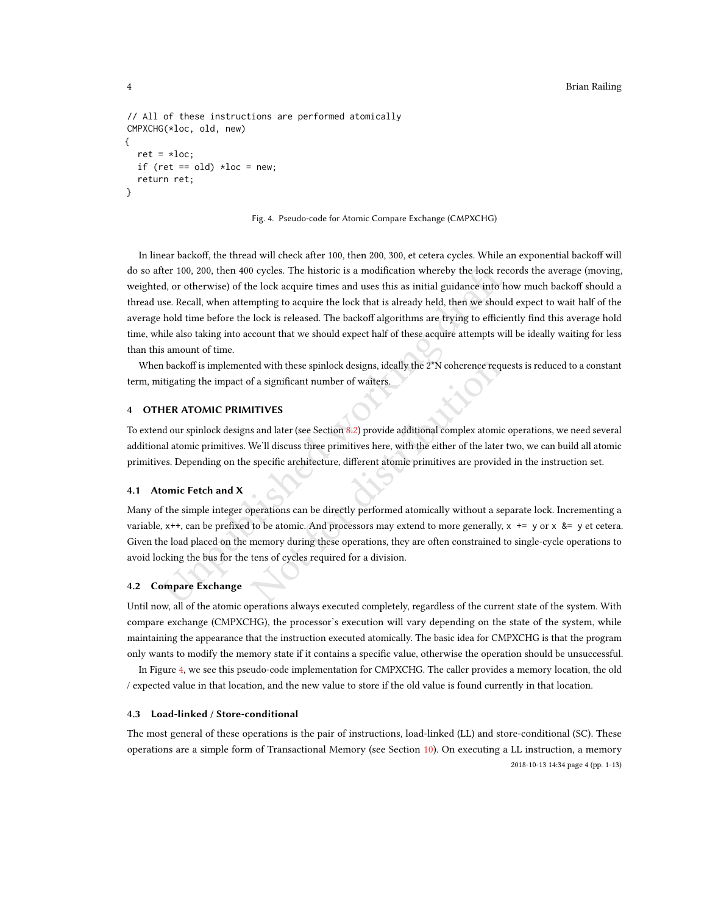```
// All of these instructions are performed atomically
CMPXCHG(*loc, old, new)
{
  ret = *loc;if (ret == old) *loc = new;return ret;
}
```
Fig. 4. Pseudo-code for Atomic Compare Exchange (CMPXCHG)

ther 100, 200, then 400 cycles. The historic is a modification whereby the lock recelarity of the lock acquire times and uses this as initial guidance into have. Recall, when attempting to acquire the lock that is already In linear backoff, the thread will check after 100, then 200, 300, et cetera cycles. While an exponential backoff will do so after 100, 200, then 400 cycles. The historic is a modification whereby the lock records the average (moving, weighted, or otherwise) of the lock acquire times and uses this as initial guidance into how much backoff should a thread use. Recall, when attempting to acquire the lock that is already held, then we should expect to wait half of the average hold time before the lock is released. The backoff algorithms are trying to efficiently find this average hold time, while also taking into account that we should expect half of these acquire attempts will be ideally waiting for less than this amount of time.

When backoff is implemented with these spinlock designs, ideally the 2\*N coherence requests is reduced to a constant term, mitigating the impact of a significant number of waiters.

# <span id="page-3-1"></span>4 OTHER ATOMIC PRIMITIVES

To extend our spinlock designs and later (see Section 8.2) provide additional complex atomic operations, we need several additional atomic primitives. We'll discuss three primitives here, with the either of the later two, we can build all atomic primitives. Depending on the specific architecture, different atomic primitives are provided in the instruction set.

#### 4.1 Atomic Fetch and X

red with these spinlock designs, ideally the 2\*N coherence reque<br>of a significant number of waiters.<br>
IITIVES<br>
s and later (see Section 8.2) provide additional complex atomic come<br>
We'll discuss three primitives here, with Many of the simple integer operations can be directly performed atomically without a separate lock. Incrementing a variable, x++, can be prefixed to be atomic. And processors may extend to more generally, x += y or x &= y et cetera. Given the load placed on the memory during these operations, they are often constrained to single-cycle operations to avoid locking the bus for the tens of cycles required for a division.

### 4.2 Compare Exchange

Until now, all of the atomic operations always executed completely, regardless of the current state of the system. With compare exchange (CMPXCHG), the processor's execution will vary depending on the state of the system, while maintaining the appearance that the instruction executed atomically. The basic idea for CMPXCHG is that the program only wants to modify the memory state if it contains a specific value, otherwise the operation should be unsuccessful.

In Figure [4,](#page-3-0) we see this pseudo-code implementation for CMPXCHG. The caller provides a memory location, the old / expected value in that location, and the new value to store if the old value is found currently in that location.

#### 4.3 Load-linked / Store-conditional

The most general of these operations is the pair of instructions, load-linked (LL) and store-conditional (SC). These operations are a simple form of Transactional Memory (see Section [10\)](#page-10-0). On executing a LL instruction, a memory 2018-10-13 14:34 page 4 (pp. 1-13)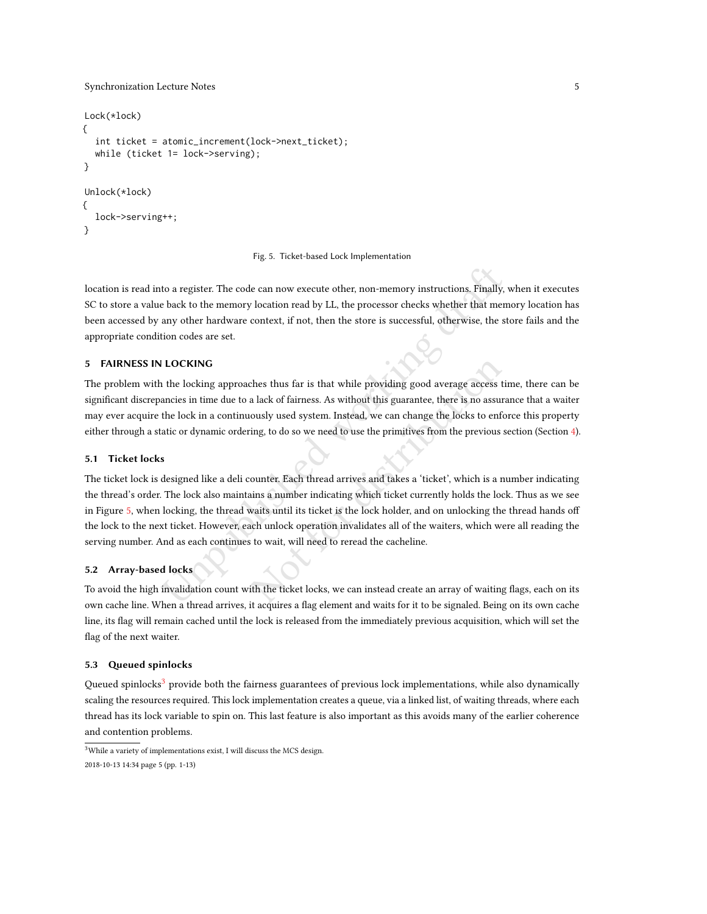```
Lock(*lock)
{
  int ticket = atomic_increment(lock->next_ticket);
  while (ticket 1= lock->serving);
}
Unlock(*lock)
{
  lock->serving++;
}
```
#### Fig. 5. Ticket-based Lock Implementation

location is read into a register. The code can now execute other, non-memory instructions. Finally, when it executes SC to store a value back to the memory location read by LL, the processor checks whether that memory location has been accessed by any other hardware context, if not, then the store is successful, otherwise, the store fails and the appropriate condition codes are set.

# 5 FAIRNESS IN LOCKING

The problem with the locking approaches thus far is that while providing good average access time, there can be significant discrepancies in time due to a lack of fairness. As without this guarantee, there is no assurance that a waiter may ever acquire the lock in a continuously used system. Instead, we can change the locks to enforce this property either through a static or dynamic ordering, to do so we need to use the primitives from the previous section (Section [4\)](#page-3-1).

#### 5.1 Ticket locks

to a register. The code can now execute other, non-memory instructions, Finally,<br>
to lack to the memory location read by LL, the processor checks whether that men<br>
any other hardware context, if not, then the store is succ thes thus far is that while providing good average access ti<br>a lack of fairness. As without this guarantee, there is no assura<br>ously used system. Instead, we can change the locks to enfor<br>ing, to do so we need to use the p The ticket lock is designed like a deli counter. Each thread arrives and takes a 'ticket', which is a number indicating the thread's order. The lock also maintains a number indicating which ticket currently holds the lock. Thus as we see in Figure [5,](#page-4-0) when locking, the thread waits until its ticket is the lock holder, and on unlocking the thread hands off the lock to the next ticket. However, each unlock operation invalidates all of the waiters, which were all reading the serving number. And as each continues to wait, will need to reread the cacheline.

# 5.2 Array-based locks

To avoid the high invalidation count with the ticket locks, we can instead create an array of waiting flags, each on its own cache line. When a thread arrives, it acquires a flag element and waits for it to be signaled. Being on its own cache line, its flag will remain cached until the lock is released from the immediately previous acquisition, which will set the flag of the next waiter.

# 5.3 Queued spinlocks

Queued spinlocks<sup>[3](#page-4-1)</sup> provide both the fairness guarantees of previous lock implementations, while also dynamically scaling the resources required. This lock implementation creates a queue, via a linked list, of waiting threads, where each thread has its lock variable to spin on. This last feature is also important as this avoids many of the earlier coherence and contention problems.

<span id="page-4-1"></span> ${}^{3}\rm{White}$  a variety of implementations exist, I will discuss the MCS design. 2018-10-13 14:34 page 5 (pp. 1-13)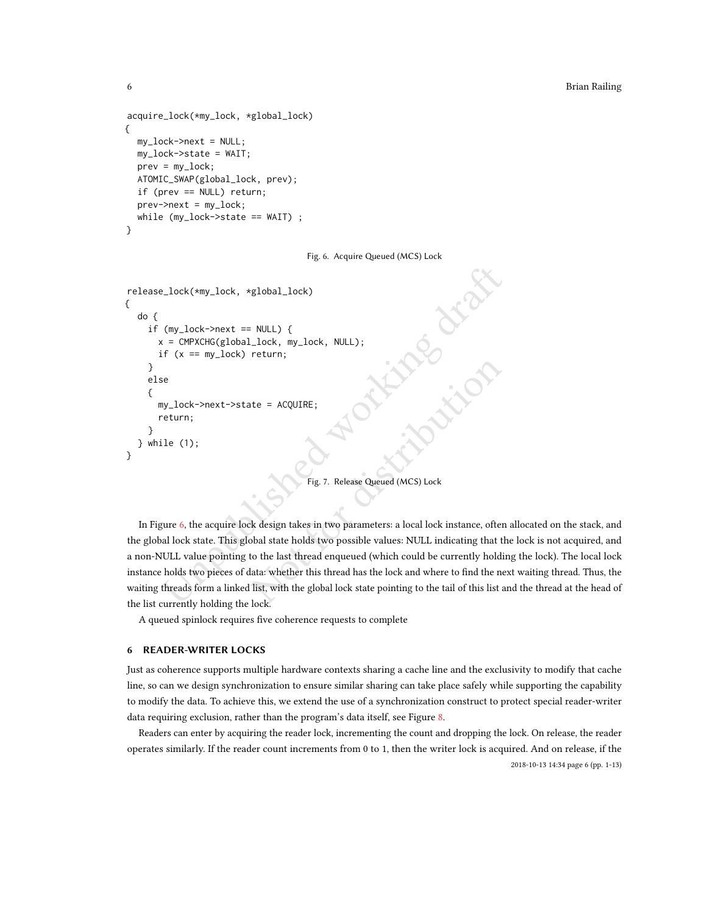```
acquire_lock(*my_lock, *global_lock)
{
  my_lock->next = NULL;
  my_lock->state = WAIT;
  prev = my\_lock;ATOMIC_SWAP(global_lock, prev);
  if (prev == NULL) return;
  prev->next = my_lock;
  while (my_lock->state == WAIT) ;
}
```
### Fig. 6. Acquire Queued (MCS) Lock

```
\text{Llock}(\text{kmy\_lock}, \text{kglobal\_lock})<br>
(my_lock->next == NULL) {<br>
\text{C} = \text{CMPXCHG(global\_lock}, \text{my\_lock}, \text{NULL});<br>
\text{H}^{\text{C}}(\text{x} = \text{my\_lock}) return;<br>
\text{S} = \text{my\_lock}<br>
\text{NULL};<br>
\text{S} = \text{my\_lock}<br>
\text{NULL};<br>
\text{S} = \text{my\_lock}<br>
\text{S} = \text{my\_lock}<br>
release_lock(*my_lock, *global_lock)
{
     do {
          if (my\_lock \rightarrow next == NULL) {
              x = CMPXCHG(global_lock, my_lock, NULL);
              if (x == my\_lock) return;
          }
          else
          {
              my_lock->next->state = ACQUIRE;
              return;
          }
     } while (1);
}
```
# Fig. 7. Release Queued (MCS) Lock

In Figure 6, the acquire lock design takes in two parameters: a local lock instance, often allocated on the stack, and the global lock state. This global state holds two possible values: NULL indicating that the lock is not acquired, and a non-NULL value pointing to the last thread enqueued (which could be currently holding the lock). The local lock instance holds two pieces of data: whether this thread has the lock and where to find the next waiting thread. Thus, the waiting threads form a linked list, with the global lock state pointing to the tail of this list and the thread at the head of the list currently holding the lock.

A queued spinlock requires five coherence requests to complete

# 6 READER-WRITER LOCKS

Just as coherence supports multiple hardware contexts sharing a cache line and the exclusivity to modify that cache line, so can we design synchronization to ensure similar sharing can take place safely while supporting the capability to modify the data. To achieve this, we extend the use of a synchronization construct to protect special reader-writer data requiring exclusion, rather than the program's data itself, see Figure [8.](#page-6-0)

Readers can enter by acquiring the reader lock, incrementing the count and dropping the lock. On release, the reader operates similarly. If the reader count increments from 0 to 1, then the writer lock is acquired. And on release, if the

2018-10-13 14:34 page 6 (pp. 1-13)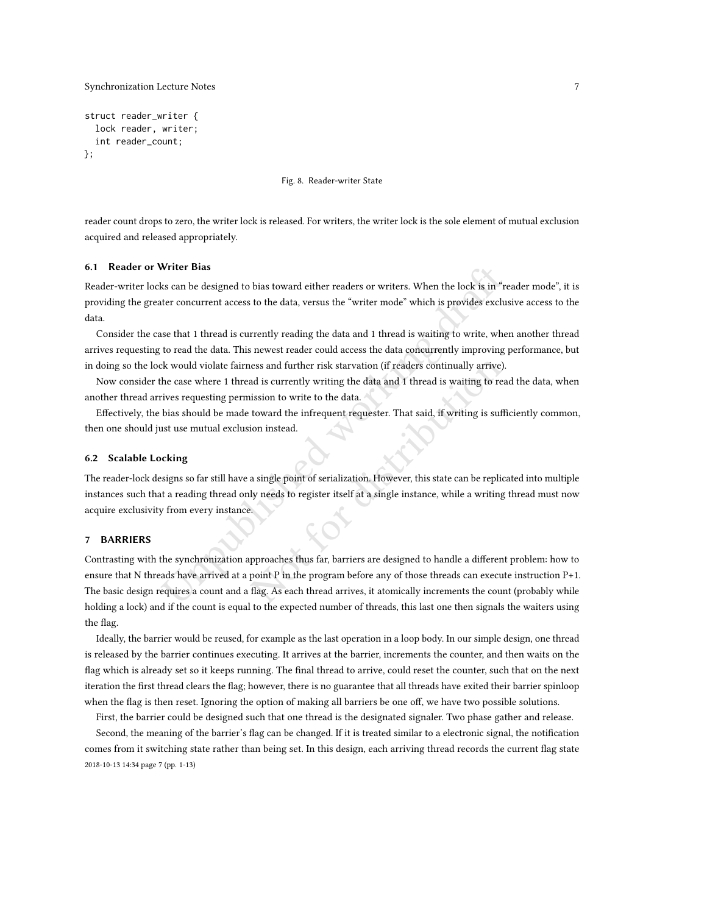```
struct reader_writer {
  lock reader, writer;
  int reader_count;
};
```
Fig. 8. Reader-writer State

reader count drops to zero, the writer lock is released. For writers, the writer lock is the sole element of mutual exclusion acquired and released appropriately.

#### 6.1 Reader or Writer Bias

Reader-writer locks can be designed to bias toward either readers or writers. When the lock is in "reader mode", it is providing the greater concurrent access to the data, versus the "writer mode" which is provides exclusive access to the data.

Consider the case that 1 thread is currently reading the data and 1 thread is waiting to write, when another thread arrives requesting to read the data. This newest reader could access the data concurrently improving performance, but in doing so the lock would violate fairness and further risk starvation (if readers continually arrive).

Now consider the case where 1 thread is currently writing the data and 1 thread is waiting to read the data, when another thread arrives requesting permission to write to the data.

Effectively, the bias should be made toward the infrequent requester. That said, if writing is sufficiently common, then one should just use mutual exclusion instead.

#### 6.2 Scalable Locking

The reader-lock designs so far still have a single point of serialization. However, this state can be replicated into multiple instances such that a reading thread only needs to register itself at a single instance, while a writing thread must now acquire exclusivity from every instance.

# 7 BARRIERS

Writer Bias<br>
sk can be designed to bias toward either readers or writers. When the lock is in "reference<br>
the ter concurrent access to the data, versus the "writer mode" which is provides exclu<br>
see that 1 thread is curren resonded is currently writing the data and 1 thread is waiting to read<br>assion to write to the data and 1 thread is waiting to read<br>assion to write to the data.<br>toward the infrequent requester. That said, if writing is suff Contrasting with the synchronization approaches thus far, barriers are designed to handle a different problem: how to ensure that N threads have arrived at a point P in the program before any of those threads can execute instruction P+1. The basic design requires a count and a flag. As each thread arrives, it atomically increments the count (probably while holding a lock) and if the count is equal to the expected number of threads, this last one then signals the waiters using the flag.

Ideally, the barrier would be reused, for example as the last operation in a loop body. In our simple design, one thread is released by the barrier continues executing. It arrives at the barrier, increments the counter, and then waits on the flag which is already set so it keeps running. The final thread to arrive, could reset the counter, such that on the next iteration the first thread clears the flag; however, there is no guarantee that all threads have exited their barrier spinloop when the flag is then reset. Ignoring the option of making all barriers be one off, we have two possible solutions.

First, the barrier could be designed such that one thread is the designated signaler. Two phase gather and release.

Second, the meaning of the barrier's flag can be changed. If it is treated similar to a electronic signal, the notification comes from it switching state rather than being set. In this design, each arriving thread records the current flag state 2018-10-13 14:34 page 7 (pp. 1-13)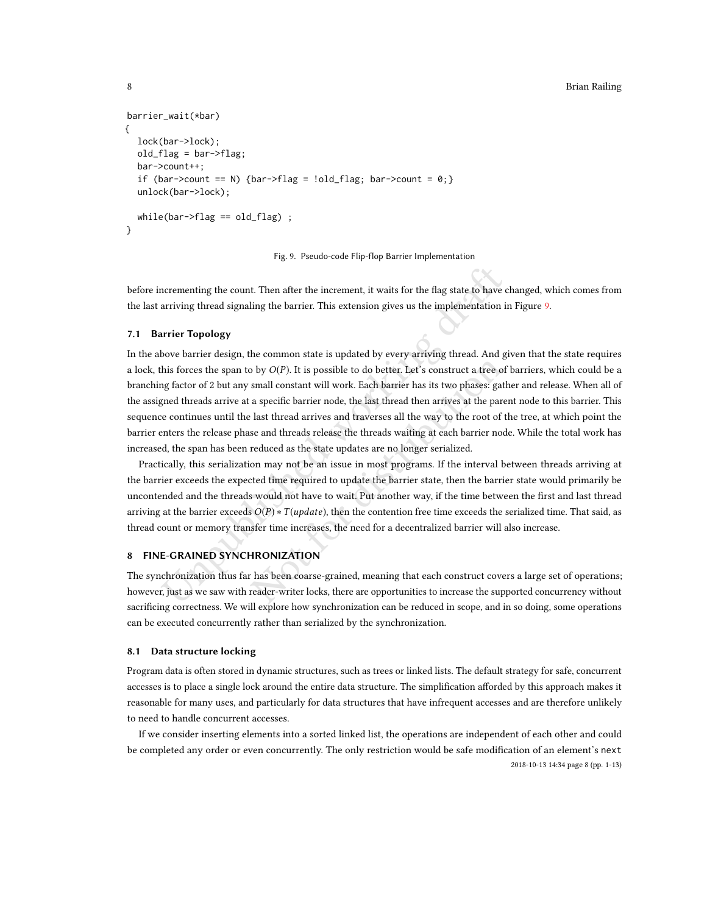## 8 Brian Railing

```
barrier_wait(*bar)
{
  lock(bar->lock);
  old_flag = bar->flag;
  bar->count++;
  if (bar->count == N) {bar->flag = !old_flag; bar->count = 0;}
  unlock(bar->lock);
  while(bar->flag == old_flag) ;
}
```
Fig. 9. Pseudo-code Flip-flop Barrier Implementation

before incrementing the count. Then after the increment, it waits for the flag state to have changed, which comes from the last arriving thread signaling the barrier. This extension gives us the implementation in Figure [9.](#page-7-0)

# 7.1 Barrier Topology

ncrementing the count. Then after the increment, it waits for the flag state to have carriving thread signaling the barrier. This extension gives us the implementation in throwe barrier Topology<br>
urrier Topology<br>
urrier T b by  $O(P)$ . It is possible to do better. Let's construct a tree of small constant will work. Each barrier has its two phases: gath a specific barrier node, the last thread then arrives at the parel last thread arrives and In the above barrier design, the common state is updated by every arriving thread. And given that the state requires a lock, this forces the span to by  $O(P)$ . It is possible to do better. Let's construct a tree of barriers, which could be a branching factor of 2 but any small constant will work. Each barrier has its two phases: gather and release. When all of the assigned threads arrive at a specific barrier node, the last thread then arrives at the parent node to this barrier. This sequence continues until the last thread arrives and traverses all the way to the root of the tree, at which point the barrier enters the release phase and threads release the threads waiting at each barrier node. While the total work has increased, the span has been reduced as the state updates are no longer serialized.

Practically, this serialization may not be an issue in most programs. If the interval between threads arriving at the barrier exceeds the expected time required to update the barrier state, then the barrier state would primarily be uncontended and the threads would not have to wait. Put another way, if the time between the first and last thread arriving at the barrier exceeds  $O(P) * T(update)$ , then the contention free time exceeds the serialized time. That said, as thread count or memory transfer time increases, the need for a decentralized barrier will also increase.

# 8 FINE-GRAINED SYNCHRONIZATION

The synchronization thus far has been coarse-grained, meaning that each construct covers a large set of operations; however, just as we saw with reader-writer locks, there are opportunities to increase the supported concurrency without sacrificing correctness. We will explore how synchronization can be reduced in scope, and in so doing, some operations can be executed concurrently rather than serialized by the synchronization.

#### 8.1 Data structure locking

Program data is often stored in dynamic structures, such as trees or linked lists. The default strategy for safe, concurrent accesses is to place a single lock around the entire data structure. The simplification afforded by this approach makes it reasonable for many uses, and particularly for data structures that have infrequent accesses and are therefore unlikely to need to handle concurrent accesses.

If we consider inserting elements into a sorted linked list, the operations are independent of each other and could be completed any order or even concurrently. The only restriction would be safe modification of an element's next 2018-10-13 14:34 page 8 (pp. 1-13)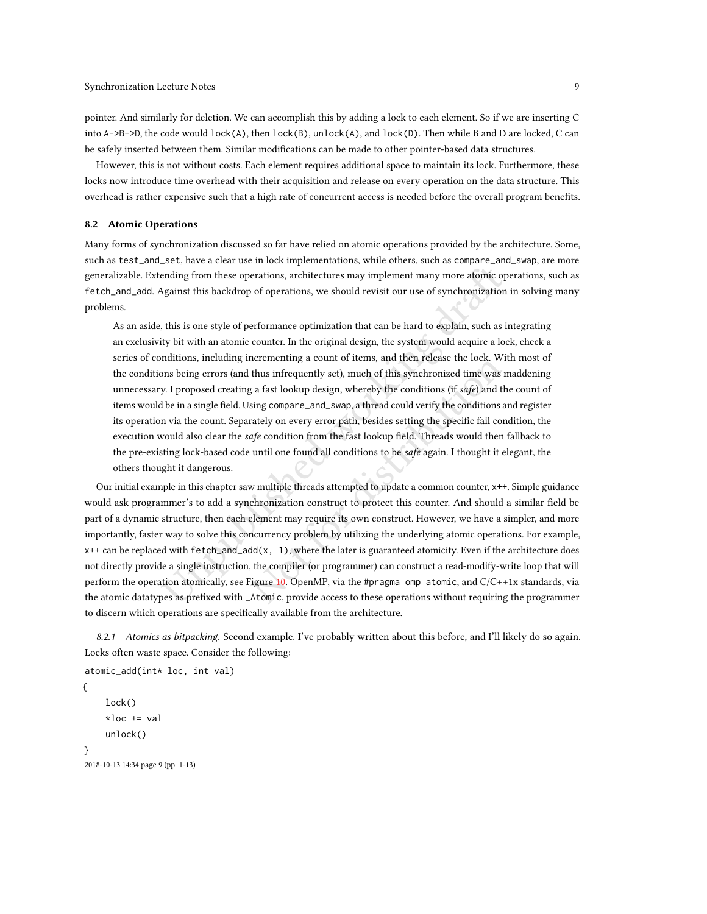pointer. And similarly for deletion. We can accomplish this by adding a lock to each element. So if we are inserting C into A->B->D, the code would lock(A), then lock(B), unlock(A), and lock(D). Then while B and D are locked, C can be safely inserted between them. Similar modifications can be made to other pointer-based data structures.

However, this is not without costs. Each element requires additional space to maintain its lock. Furthermore, these locks now introduce time overhead with their acquisition and release on every operation on the data structure. This overhead is rather expensive such that a high rate of concurrent access is needed before the overall program benefits.

#### <span id="page-8-0"></span>8.2 Atomic Operations

Many forms of synchronization discussed so far have relied on atomic operations provided by the architecture. Some, such as test\_and\_set, have a clear use in lock implementations, while others, such as compare\_and\_swap, are more generalizable. Extending from these operations, architectures may implement many more atomic operations, such as fetch\_and\_add. Against this backdrop of operations, we should revisit our use of synchronization in solving many problems.

ending from these operations, architectures may implement many more atomic op<br>Against this backdrop of operations, we should revisit our use of synchronization<br>this is one style of performance optimization that can be har As an aside, this is one style of performance optimization that can be hard to explain, such as integrating an exclusivity bit with an atomic counter. In the original design, the system would acquire a lock, check a series of conditions, including incrementing a count of items, and then release the lock. With most of the conditions being errors (and thus infrequently set), much of this synchronized time was maddening unnecessary. I proposed creating a fast lookup design, whereby the conditions (if safe) and the count of items would be in a single field. Using compare\_and\_swap, a thread could verify the conditions and register its operation via the count. Separately on every error path, besides setting the specific fail condition, the execution would also clear the safe condition from the fast lookup field. Threads would then fallback to the pre-existing lock-based code until one found all conditions to be *safe* again. I thought it elegant, the others thought it dangerous.

telementing a count of tents, and then release the lock. With thus infrequently set), much of this synchronized time was m a fast lookup design, whereby the conditions (if safe) and the sing compare\_and\_swap, a thread cou Our initial example in this chapter saw multiple threads attempted to update a common counter, x++. Simple guidance would ask programmer's to add a synchronization construct to protect this counter. And should a similar field be part of a dynamic structure, then each element may require its own construct. However, we have a simpler, and more importantly, faster way to solve this concurrency problem by utilizing the underlying atomic operations. For example, x++ can be replaced with fetch\_and\_add(x, 1), where the later is guaranteed atomicity. Even if the architecture does not directly provide a single instruction, the compiler (or programmer) can construct a read-modify-write loop that will perform the operation atomically, see Figure 10. OpenMP, via the #pragma omp atomic, and  $C/C++1x$  standards, via the atomic datatypes as prefixed with \_Atomic, provide access to these operations without requiring the programmer to discern which operations are specifically available from the architecture.

8.2.1 Atomics as bitpacking. Second example. I've probably written about this before, and I'll likely do so again. Locks often waste space. Consider the following:

```
atomic_add(int* loc, int val)
{
    lock()
```

```
*loc += val
     unlock()
}
2018-10-13 14:34 page 9 (pp. 1-13)
```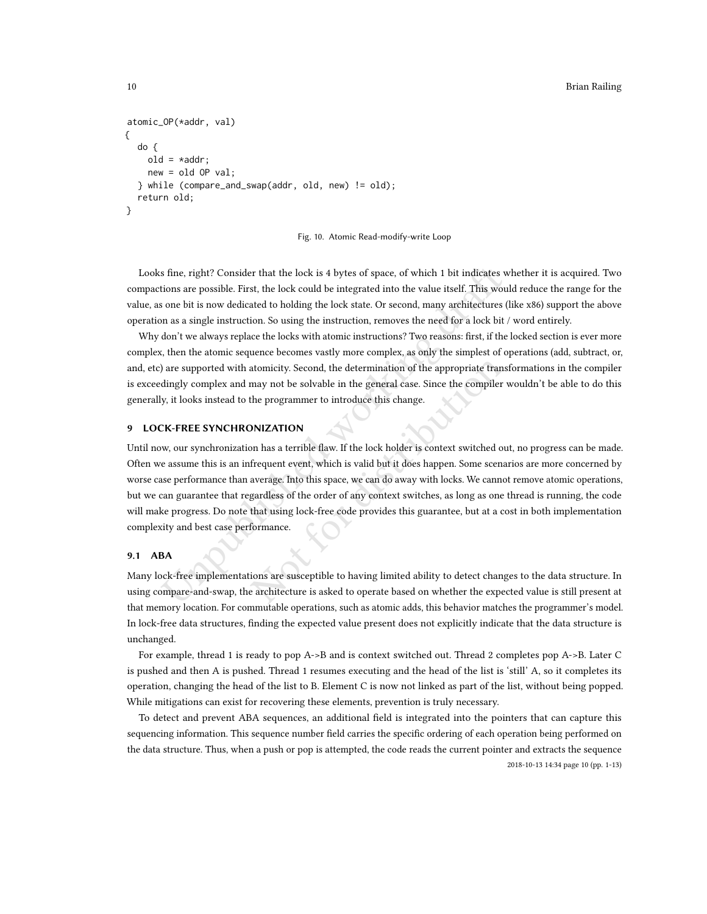## 10 Brian Railing

```
atomic_OP(*addr, val)
{
  do {
    old = *addr;new = old OP val;
  } while (compare_and_swap(addr, old, new) != old);
  return old;
}
```


Looks fine, right? Consider that the lock is 4 bytes of space, of which 1 bit indicates whether it is acquired. Two compactions are possible. First, the lock could be integrated into the value itself. This would reduce the range for the value, as one bit is now dedicated to holding the lock state. Or second, many architectures (like x86) support the above operation as a single instruction. So using the instruction, removes the need for a lock bit / word entirely.

Why don't we always replace the locks with atomic instructions? Two reasons: first, if the locked section is ever more complex, then the atomic sequence becomes vastly more complex, as only the simplest of operations (add, subtract, or, and, etc) are supported with atomicity. Second, the determination of the appropriate transformations in the compiler is exceedingly complex and may not be solvable in the general case. Since the compiler wouldn't be able to do this generally, it looks instead to the programmer to introduce this change.

# 9 LOCK-FREE SYNCHRONIZATION

s fine, right? Consider that the lock is 4 bytes of space, of which 1 bit indicates with save possible. First, the lock could be integrated into the value itself. This wou sone bit is now dedicated to holding the lock stat atomicity. Second, the determination of the appropriate transmay not be solvable in the general case. Since the compiler v<br>the programmer to introduce this change.<br>
DNIZATION<br>
on has a terrible flaw. If the lock holder is Until now, our synchronization has a terrible flaw. If the lock holder is context switched out, no progress can be made. Often we assume this is an infrequent event, which is valid but it does happen. Some scenarios are more concerned by worse case performance than average. Into this space, we can do away with locks. We cannot remove atomic operations, but we can guarantee that regardless of the order of any context switches, as long as one thread is running, the code will make progress. Do note that using lock-free code provides this guarantee, but at a cost in both implementation complexity and best case performance.

## 9.1 ABA

Many lock-free implementations are susceptible to having limited ability to detect changes to the data structure. In using compare-and-swap, the architecture is asked to operate based on whether the expected value is still present at that memory location. For commutable operations, such as atomic adds, this behavior matches the programmer's model. In lock-free data structures, finding the expected value present does not explicitly indicate that the data structure is unchanged.

For example, thread 1 is ready to pop A->B and is context switched out. Thread 2 completes pop A->B. Later C is pushed and then A is pushed. Thread 1 resumes executing and the head of the list is 'still' A, so it completes its operation, changing the head of the list to B. Element C is now not linked as part of the list, without being popped. While mitigations can exist for recovering these elements, prevention is truly necessary.

To detect and prevent ABA sequences, an additional field is integrated into the pointers that can capture this sequencing information. This sequence number field carries the specific ordering of each operation being performed on the data structure. Thus, when a push or pop is attempted, the code reads the current pointer and extracts the sequence 2018-10-13 14:34 page 10 (pp. 1-13)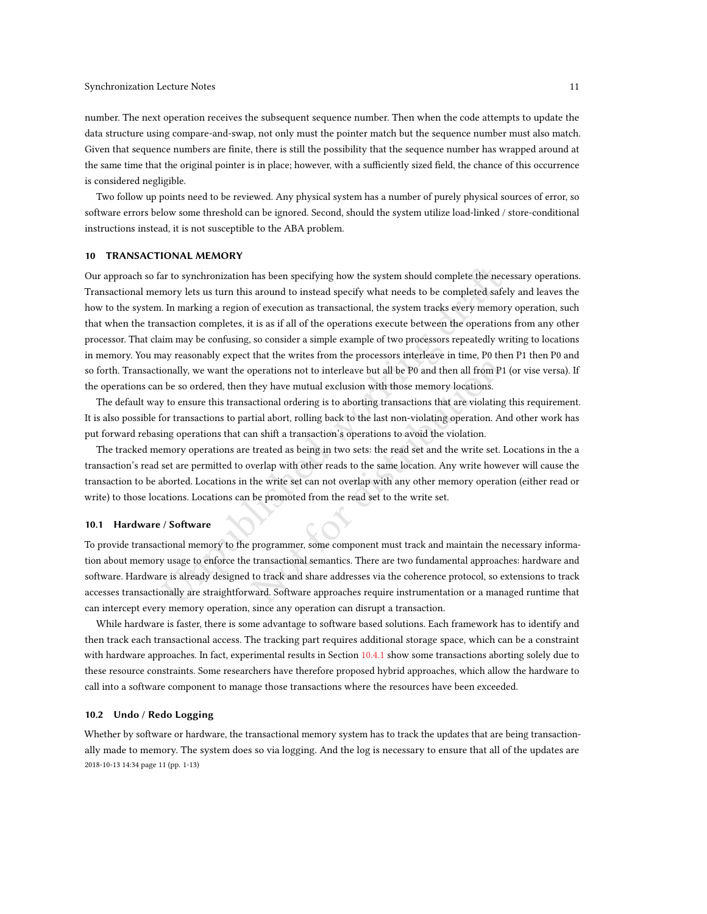number. The next operation receives the subsequent sequence number. Then when the code attempts to update the data structure using compare-and-swap, not only must the pointer match but the sequence number must also match. Given that sequence numbers are finite, there is still the possibility that the sequence number has wrapped around at the same time that the original pointer is in place; however, with a sufficiently sized field, the chance of this occurrence is considered negligible.

Two follow up points need to be reviewed. Any physical system has a number of purely physical sources of error, so software errors below some threshold can be ignored. Second, should the system utilize load-linked / store-conditional instructions instead, it is not susceptible to the ABA problem.

# <span id="page-10-0"></span>10 TRANSACTIONAL MEMORY

ar to synchronization has been specifying how the system should complete the necesty lest us turn this around to instead specify what needs to be completed safel. In marking a region of execution as transactional, the syst Our approach so far to synchronization has been specifying how the system should complete the necessary operations. Transactional memory lets us turn this around to instead specify what needs to be completed safely and leaves the how to the system. In marking a region of execution as transactional, the system tracks every memory operation, such that when the transaction completes, it is as if all of the operations execute between the operations from any other processor. That claim may be confusing, so consider a simple example of two processors repeatedly writing to locations in memory. You may reasonably expect that the writes from the processors interleave in time, P0 then P1 then P0 and so forth. Transactionally, we want the operations not to interleave but all be P0 and then all from P1 (or vise versa). If the operations can be so ordered, then they have mutual exclusion with those memory locations.

The default way to ensure this transactional ordering is to aborting transactions that are violating this requirement. It is also possible for transactions to partial abort, rolling back to the last non-violating operation. And other work has put forward rebasing operations that can shift a transaction's operations to avoid the violation.

The tracked memory operations are treated as being in two sets: the read set and the write set. Locations in the a transaction's read set are permitted to overlap with other reads to the same location. Any write however will cause the transaction to be aborted. Locations in the write set can not overlap with any other memory operation (either read or write) to those locations. Locations can be promoted from the read set to the write set.

#### 10.1 Hardware / Software

The means of the interest of the PO and then all from P1<br>perations not to interleave but all be P0 and then all from P1<br>they have mutual exclusion with those memory locations.<br>actional ordering is to aborting transactions To provide transactional memory to the programmer, some component must track and maintain the necessary information about memory usage to enforce the transactional semantics. There are two fundamental approaches: hardware and software. Hardware is already designed to track and share addresses via the coherence protocol, so extensions to track accesses transactionally are straightforward. Software approaches require instrumentation or a managed runtime that can intercept every memory operation, since any operation can disrupt a transaction.

While hardware is faster, there is some advantage to software based solutions. Each framework has to identify and then track each transactional access. The tracking part requires additional storage space, which can be a constraint with hardware approaches. In fact, experimental results in Section [10.4.1](#page-11-0) show some transactions aborting solely due to these resource constraints. Some researchers have therefore proposed hybrid approaches, which allow the hardware to call into a software component to manage those transactions where the resources have been exceeded.

## 10.2 Undo / Redo Logging

Whether by software or hardware, the transactional memory system has to track the updates that are being transactionally made to memory. The system does so via logging. And the log is necessary to ensure that all of the updates are 2018-10-13 14:34 page 11 (pp. 1-13)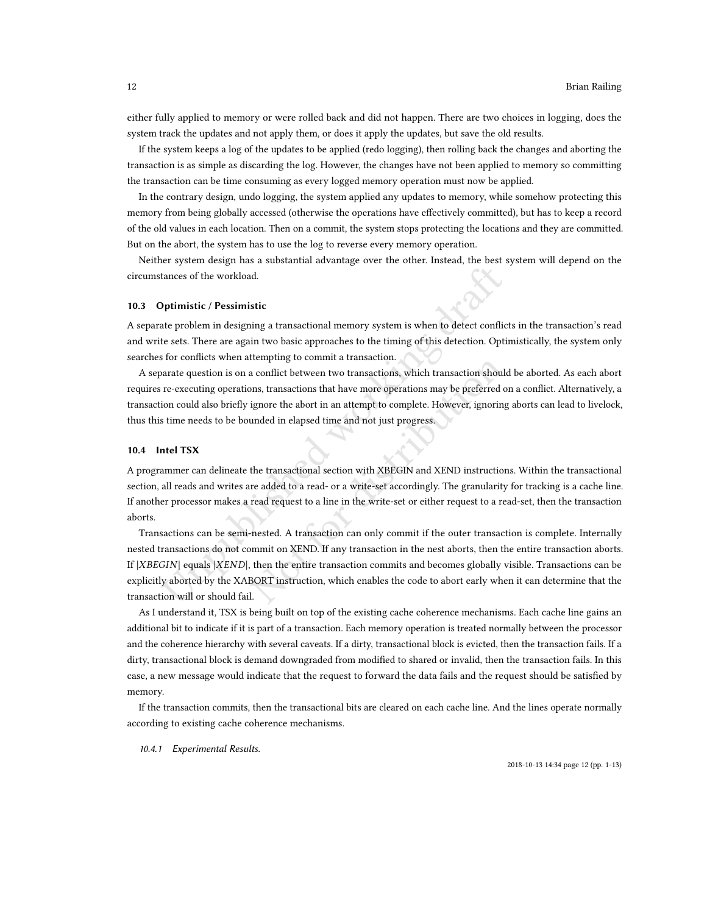either fully applied to memory or were rolled back and did not happen. There are two choices in logging, does the system track the updates and not apply them, or does it apply the updates, but save the old results.

If the system keeps a log of the updates to be applied (redo logging), then rolling back the changes and aborting the transaction is as simple as discarding the log. However, the changes have not been applied to memory so committing the transaction can be time consuming as every logged memory operation must now be applied.

In the contrary design, undo logging, the system applied any updates to memory, while somehow protecting this memory from being globally accessed (otherwise the operations have effectively committed), but has to keep a record of the old values in each location. Then on a commit, the system stops protecting the locations and they are committed. But on the abort, the system has to use the log to reverse every memory operation.

Neither system design has a substantial advantage over the other. Instead, the best system will depend on the circumstances of the workload.

#### 10.3 Optimistic / Pessimistic

A separate problem in designing a transactional memory system is when to detect conflicts in the transaction's read and write sets. There are again two basic approaches to the timing of this detection. Optimistically, the system only searches for conflicts when attempting to commit a transaction.

A separate question is on a conflict between two transactions, which transaction should be aborted. As each abort requires re-executing operations, transactions that have more operations may be preferred on a conflict. Alternatively, a transaction could also briefly ignore the abort in an attempt to complete. However, ignoring aborts can lead to livelock, thus this time needs to be bounded in elapsed time and not just progress.

#### 10.4 Intel TSX

A programmer can delineate the transactional section with XBEGIN and XEND instructions. Within the transactional section, all reads and writes are added to a read- or a write-set accordingly. The granularity for tracking is a cache line. If another processor makes a read request to a line in the write-set or either request to a read-set, then the transaction aborts.

tances of the workload.<br> **Optimistic** / Pessimistic<br>
ate problem in designing a transactional memory system is when to detect conflict<br>
testes. There are again two basic approaches to the timing of this detection. Opti<br>
fo Etchipulary to commin a transaction.<br>
a conflict between two transactions, which transaction should<br>
ignore the abort in an attempt to complete. However, ignoring<br>
unded in elapsed time and not just progress.<br>
the transact Transactions can be semi-nested. A transaction can only commit if the outer transaction is complete. Internally nested transactions do not commit on XEND. If any transaction in the nest aborts, then the entire transaction aborts. If |XBEGIN| equals |XEND|, then the entire transaction commits and becomes globally visible. Transactions can be explicitly aborted by the XABORT instruction, which enables the code to abort early when it can determine that the transaction will or should fail.

As I understand it, TSX is being built on top of the existing cache coherence mechanisms. Each cache line gains an additional bit to indicate if it is part of a transaction. Each memory operation is treated normally between the processor and the coherence hierarchy with several caveats. If a dirty, transactional block is evicted, then the transaction fails. If a dirty, transactional block is demand downgraded from modified to shared or invalid, then the transaction fails. In this case, a new message would indicate that the request to forward the data fails and the request should be satisfied by memory.

If the transaction commits, then the transactional bits are cleared on each cache line. And the lines operate normally according to existing cache coherence mechanisms.

<span id="page-11-0"></span>10.4.1 Experimental Results.

2018-10-13 14:34 page 12 (pp. 1-13)